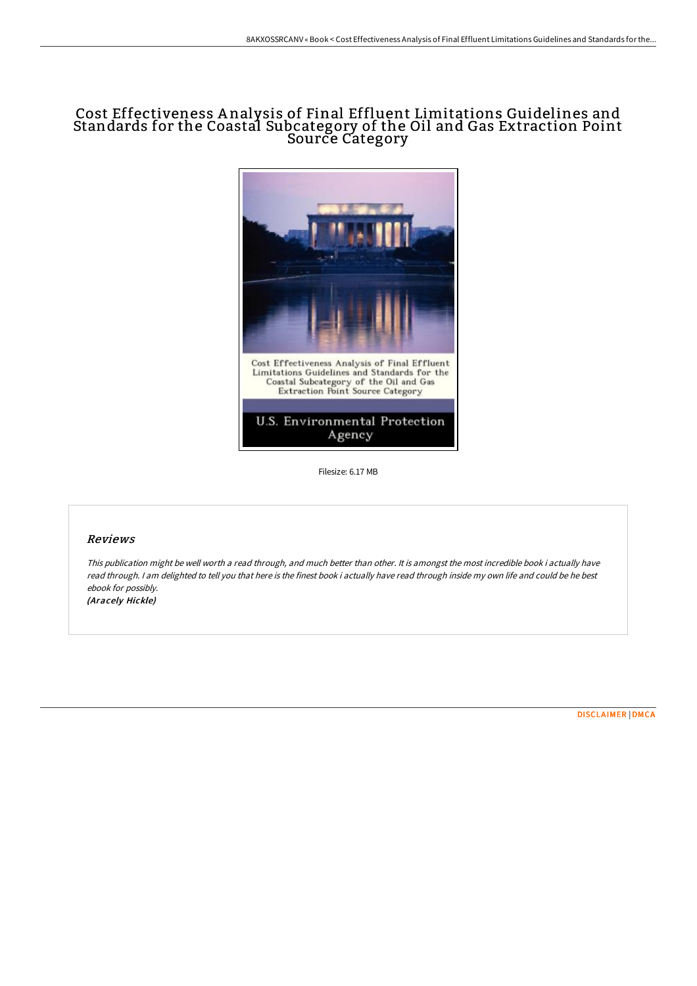# Cost Effectiveness A nalysis of Final Effluent Limitations Guidelines and Standards for the Coastal Subcategory of the Oil and Gas Extraction Point Source Category



Filesize: 6.17 MB

## Reviews

This publication might be well worth <sup>a</sup> read through, and much better than other. It is amongst the most incredible book i actually have read through. <sup>I</sup> am delighted to tell you that here is the finest book i actually have read through inside my own life and could be he best ebook for possibly. (Aracely Hickle)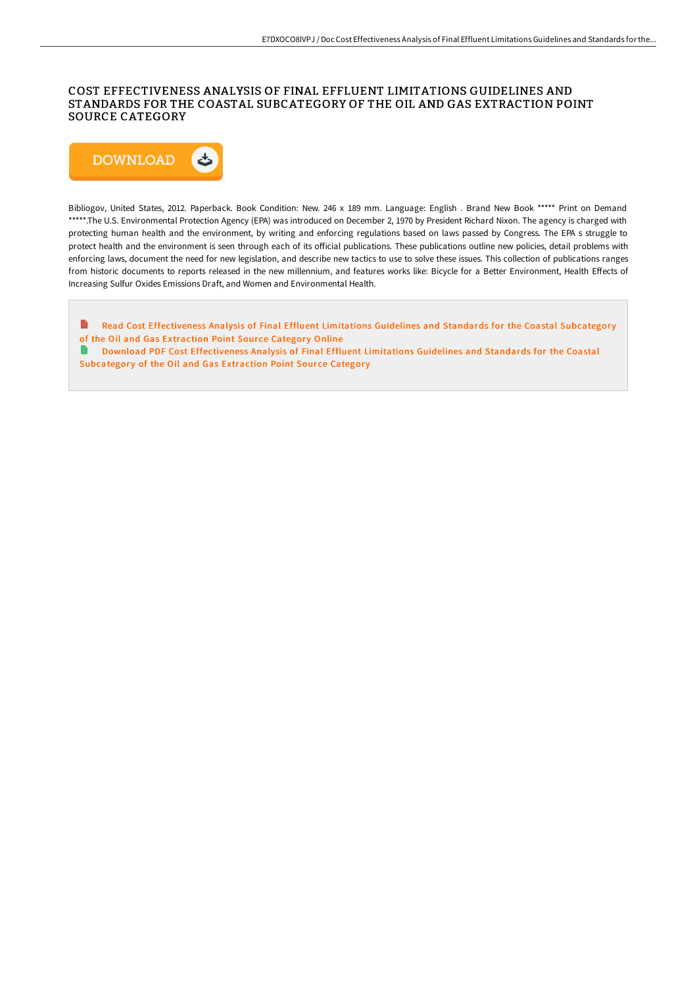### COST EFFECTIVENESS ANALYSIS OF FINAL EFFLUENT LIMITATIONS GUIDELINES AND STANDARDS FOR THE COASTAL SUBCATEGORY OF THE OIL AND GAS EXTRACTION POINT SOURCE CATEGORY



Bibliogov, United States, 2012. Paperback. Book Condition: New. 246 x 189 mm. Language: English . Brand New Book \*\*\*\*\* Print on Demand \*\*\*\*\*.The U.S. Environmental Protection Agency (EPA) was introduced on December 2, 1970 by President Richard Nixon. The agency is charged with protecting human health and the environment, by writing and enforcing regulations based on laws passed by Congress. The EPA s struggle to protect health and the environment is seen through each of its official publications. These publications outline new policies, detail problems with enforcing laws, document the need for new legislation, and describe new tactics to use to solve these issues. This collection of publications ranges from historic documents to reports released in the new millennium, and features works like: Bicycle for a Better Environment, Health Effects of Increasing Sulfur Oxides Emissions Draft, and Women and Environmental Health.

E Read Cost [Effectiveness](http://albedo.media/cost-effectiveness-analysis-of-final-effluent-li.html) Analysis of Final Effluent Limitations Guidelines and Standards for the Coastal Subcategory of the Oil and Gas Extraction Point Source Category Online

 $\blacksquare$ Download PDF Cost [Effectiveness](http://albedo.media/cost-effectiveness-analysis-of-final-effluent-li.html) Analysis of Final Effluent Limitations Guidelines and Standards for the Coastal Subcategory of the Oil and Gas Extraction Point Source Category